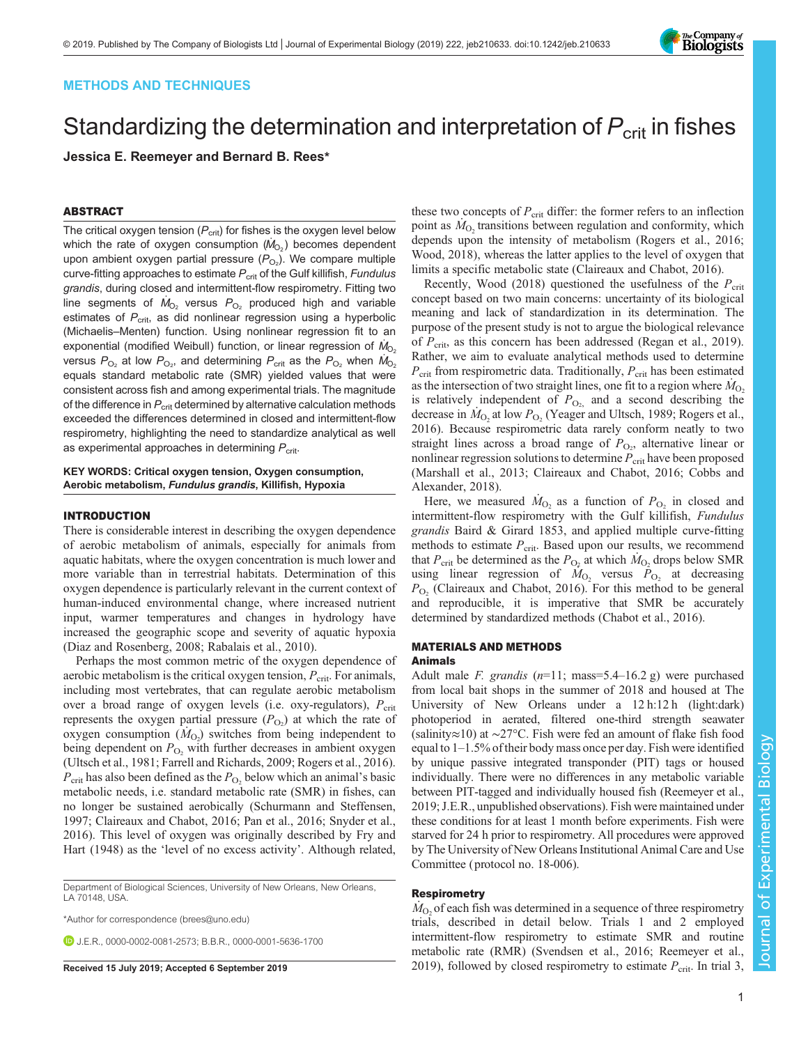# METHODS AND TECHNIQUES

# Standardizing the determination and interpretation of  $P_{\text{crit}}$  in fishes Jessica E. Reemeyer and Bernard B. Rees\*

# ABSTRACT

The critical oxygen tension  $(P_{\text{crit}})$  for fishes is the oxygen level below which the rate of oxygen consumption  $(\dot{M}_{\text{O}_2})$  becomes dependent upon ambient oxygen partial pressure ( $P_{\mathrm{O}_2}$ ). We compare multiple curve-fitting approaches to estimate  $P_{\text{crit}}$  of the Gulf killifish, Fundulus grandis, during closed and intermittent-flow respirometry. Fitting two line segments of  $\dot{M}_{\rm O_2}$  versus  $P_{\rm O_2}$  produced high and variable estimates of  $P_{\text{crit}}$ , as did nonlinear regression using a hyperbolic (Michaelis–Menten) function. Using nonlinear regression fit to an exponential (modified Weibull) function, or linear regression of  $M_{\rm O_2}$ versus  $P_{\text{O}_2}$  at low  $P_{\text{O}_2}$ , and determining  $P_{\text{crit}}$  as the  $P_{\text{O}_2}$  when  $\dot{M}_{\text{O}_2}$ equals standard metabolic rate (SMR) yielded values that were consistent across fish and among experimental trials. The magnitude of the difference in  $P_{\text{crit}}$  determined by alternative calculation methods exceeded the differences determined in closed and intermittent-flow respirometry, highlighting the need to standardize analytical as well as experimental approaches in determining  $P_{\text{crit}}$ .

# KEY WORDS: Critical oxygen tension, Oxygen consumption, Aerobic metabolism, Fundulus grandis, Killifish, Hypoxia

# INTRODUCTION

There is considerable interest in describing the oxygen dependence of aerobic metabolism of animals, especially for animals from aquatic habitats, where the oxygen concentration is much lower and more variable than in terrestrial habitats. Determination of this oxygen dependence is particularly relevant in the current context of human-induced environmental change, where increased nutrient input, warmer temperatures and changes in hydrology have increased the geographic scope and severity of aquatic hypoxia [\(Diaz and Rosenberg, 2008](#page-5-0); [Rabalais et al., 2010](#page-5-0)).

Perhaps the most common metric of the oxygen dependence of aerobic metabolism is the critical oxygen tension,  $P_{\text{crit}}$ . For animals, including most vertebrates, that can regulate aerobic metabolism over a broad range of oxygen levels (i.e. oxy-regulators),  $P_{\text{crit}}$ represents the oxygen partial pressure  $(P_{O_2})$  at which the rate of oxygen consumption  $(M<sub>O<sub>2</sub></sub>)$  switches from being independent to being dependent on  $P_{\text{O}_2}$  with further decreases in ambient oxygen [\(Ultsch et al., 1981](#page-5-0); [Farrell and Richards, 2009; Rogers et al., 2016\)](#page-5-0).  $P_{\text{crit}}$  has also been defined as the  $P_{\text{O}_2}$  below which an animal's basic metabolic needs, i.e. standard metabolic rate (SMR) in fishes, can no longer be sustained aerobically [\(Schurmann and Steffensen,](#page-5-0) [1997](#page-5-0); [Claireaux and Chabot, 2016](#page-5-0); [Pan et al., 2016](#page-5-0); [Snyder et al.,](#page-5-0) [2016](#page-5-0)). This level of oxygen was originally described by [Fry and](#page-5-0) [Hart \(1948\)](#page-5-0) as the 'level of no excess activity'. Although related,

Department of Biological Sciences, University of New Orleans, New Orleans, LA 70148, USA.

\*Author for correspondence [\(brees@uno.edu](mailto:brees@uno.edu))

**D.I.F.R., [0000-0002-0081-2573;](http://orcid.org/0000-0002-0081-2573) B.B.R., [0000-0001-5636-1700](http://orcid.org/0000-0001-5636-1700)** 

these two concepts of  $P_{\rm crit}$  differ: the former refers to an inflection point as  $M<sub>O</sub>$ , transitions between regulation and conformity, which depends upon the intensity of metabolism [\(Rogers et al., 2016](#page-5-0); [Wood, 2018\)](#page-5-0), whereas the latter applies to the level of oxygen that limits a specific metabolic state ([Claireaux and Chabot, 2016\)](#page-5-0).

Recently, [Wood \(2018\)](#page-5-0) questioned the usefulness of the  $P_{\text{crit}}$ concept based on two main concerns: uncertainty of its biological meaning and lack of standardization in its determination. The purpose of the present study is not to argue the biological relevance of  $P_{\text{crit}}$ , as this concern has been addressed ([Regan et al., 2019\)](#page-5-0). Rather, we aim to evaluate analytical methods used to determine  $P_{\text{crit}}$  from respirometric data. Traditionally,  $P_{\text{crit}}$  has been estimated as the intersection of two straight lines, one fit to a region where  $M_{\odot}$ , is relatively independent of  $P_{\text{O}_2}$  and a second describing the decrease in  $M<sub>O<sub>2</sub></sub>$  at low  $P<sub>O<sub>2</sub></sub>$  ([Yeager and Ultsch, 1989; Rogers et al.,](#page-5-0) [2016\)](#page-5-0). Because respirometric data rarely conform neatly to two straight lines across a broad range of  $P_{\text{O}_2}$ , alternative linear or nonlinear regression solutions to determine  $P_{\text{crit}}$  have been proposed [\(Marshall et al., 2013; Claireaux and Chabot, 2016; Cobbs and](#page-5-0) [Alexander, 2018](#page-5-0)).

Here, we measured  $M_{\text{O}_2}$  as a function of  $P_{\text{O}_2}$  in closed and intermittent-flow respirometry with the Gulf killifish, Fundulus grandis Baird & Girard 1853, and applied multiple curve-fitting methods to estimate  $P_{\text{crit}}$ . Based upon our results, we recommend that  $P_{\text{crit}}$  be determined as the  $P_{\text{O}_2}$  at which  $M_{\text{O}_2}$  drops below SMR using linear regression of  $\dot{M}_{O_2}$  versus  $P_{O_2}$  at decreasing  $P_{\text{O}_2}$  [\(Claireaux and Chabot, 2016](#page-5-0)). For this method to be general and reproducible, it is imperative that SMR be accurately determined by standardized methods ([Chabot et al., 2016](#page-5-0)).

# MATERIALS AND METHODS Animals

Adult male F. grandis  $(n=11; \text{mass}=5.4-16.2 \text{ g})$  were purchased from local bait shops in the summer of 2018 and housed at The University of New Orleans under a 12 h:12 h (light:dark) photoperiod in aerated, filtered one-third strength seawater (salinity≈10) at ∼27°C. Fish were fed an amount of flake fish food equal to 1–1.5% of their body mass once per day. Fish were identified by unique passive integrated transponder (PIT) tags or housed individually. There were no differences in any metabolic variable between PIT-tagged and individually housed fish [\(Reemeyer et al.,](#page-5-0) [2019;](#page-5-0) J.E.R., unpublished observations). Fish were maintained under these conditions for at least 1 month before experiments. Fish were starved for 24 h prior to respirometry. All procedures were approved by The University of New Orleans Institutional Animal Care and Use Committee (protocol no. 18-006).

# Respirometry

 $M<sub>O</sub>$ , of each fish was determined in a sequence of three respirometry trials, described in detail below. Trials 1 and 2 employed intermittent-flow respirometry to estimate SMR and routine metabolic rate (RMR) [\(Svendsen et al., 2016; Reemeyer et al.,](#page-5-0) **Received 15 July 2019; Accepted 6 September 2019** 2019, followed by closed respirometry to estimate P<sub>crit</sub>. In trial 3,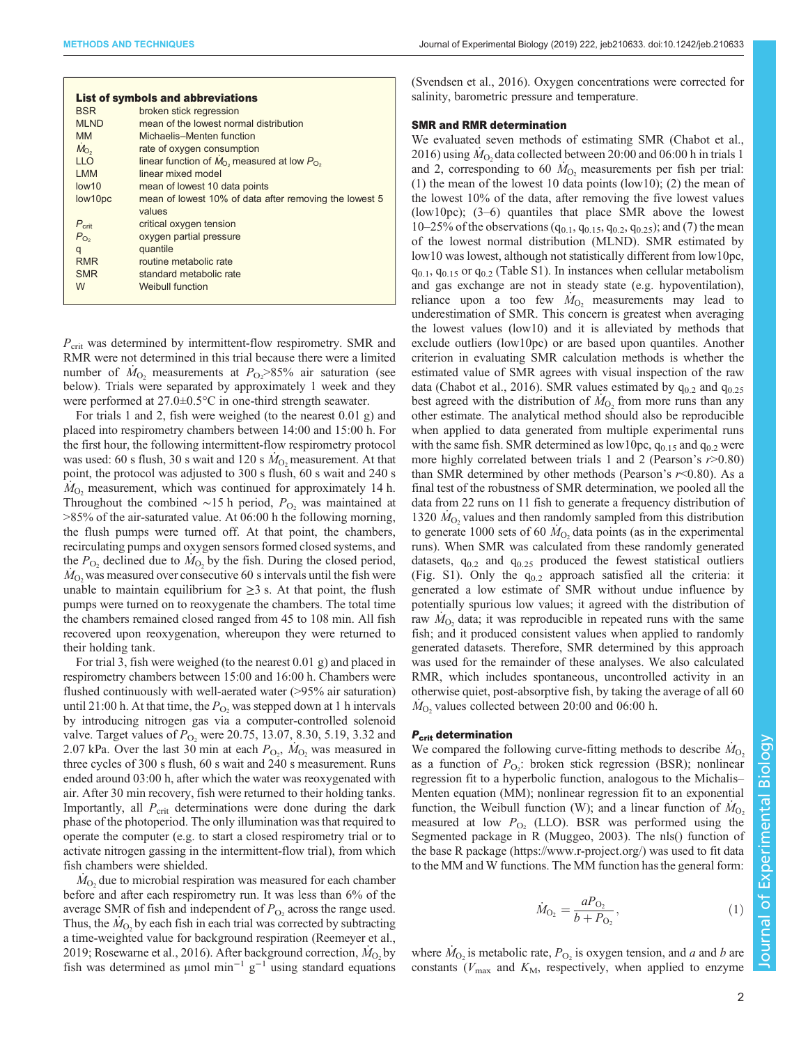|                   | <b>List of symbols and abbreviations</b>                       |  |  |
|-------------------|----------------------------------------------------------------|--|--|
| <b>BSR</b>        | broken stick regression                                        |  |  |
| <b>MLND</b>       | mean of the lowest normal distribution                         |  |  |
| <b>MM</b>         | Michaelis-Menten function                                      |  |  |
| $M_{\rm O2}$      | rate of oxygen consumption                                     |  |  |
| <b>LLO</b>        | linear function of $M_{\odot}$ , measured at low $P_{\odot}$ , |  |  |
| <b>LMM</b>        | linear mixed model                                             |  |  |
| low10             | mean of lowest 10 data points                                  |  |  |
| low10pc           | mean of lowest 10% of data after removing the lowest 5         |  |  |
|                   | values                                                         |  |  |
| $P_{\text{crit}}$ | critical oxygen tension                                        |  |  |
| $P_{\text{O}_2}$  | oxygen partial pressure                                        |  |  |
| q                 | quantile                                                       |  |  |
| <b>RMR</b>        | routine metabolic rate                                         |  |  |
| <b>SMR</b>        | standard metabolic rate                                        |  |  |
| W                 | Weibull function                                               |  |  |
|                   |                                                                |  |  |

 $P_{\text{crit}}$  was determined by intermittent-flow respirometry. SMR and RMR were not determined in this trial because there were a limited number of  $\dot{M}_{O_2}$  measurements at  $P_{O_2} > 85\%$  air saturation (see below). Trials were separated by approximately 1 week and they were performed at 27.0±0.5°C in one-third strength seawater.

For trials 1 and 2, fish were weighed (to the nearest 0.01 g) and placed into respirometry chambers between 14:00 and 15:00 h. For the first hour, the following intermittent-flow respirometry protocol was used: 60 s flush, 30 s wait and 120 s  $\dot{M}_{\odot}$  measurement. At that point, the protocol was adjusted to 300 s flush, 60 s wait and 240 s  $M<sub>O</sub>$ , measurement, which was continued for approximately 14 h. Throughout the combined ∼15 h period,  $P_{O_2}$  was maintained at >85% of the air-saturated value. At 06:00 h the following morning, the flush pumps were turned off. At that point, the chambers, recirculating pumps and oxygen sensors formed closed systems, and the  $P_{\text{O}_2}$  declined due to  $M_{\text{O}_2}$  by the fish. During the closed period,  $M<sub>O</sub>$ , was measured over consecutive 60 s intervals until the fish were unable to maintain equilibrium for  $\geq 3$  s. At that point, the flush pumps were turned on to reoxygenate the chambers. The total time the chambers remained closed ranged from 45 to 108 min. All fish recovered upon reoxygenation, whereupon they were returned to their holding tank.

For trial 3, fish were weighed (to the nearest 0.01 g) and placed in respirometry chambers between 15:00 and 16:00 h. Chambers were flushed continuously with well-aerated water (>95% air saturation) until 21:00 h. At that time, the  $P_{\text{O}_2}$  was stepped down at 1 h intervals by introducing nitrogen gas via a computer-controlled solenoid valve. Target values of  $P_{\text{O}_2}$  were 20.75, 13.07, 8.30, 5.19, 3.32 and 2.07 kPa. Over the last 30 min at each  $P_{\text{O}_2}$ ,  $\dot{M}_{\text{O}_2}$  was measured in three cycles of 300 s flush, 60 s wait and 240 s measurement. Runs ended around 03:00 h, after which the water was reoxygenated with air. After 30 min recovery, fish were returned to their holding tanks. Importantly, all  $P_{\text{crit}}$  determinations were done during the dark phase of the photoperiod. The only illumination was that required to operate the computer (e.g. to start a closed respirometry trial or to activate nitrogen gassing in the intermittent-flow trial), from which fish chambers were shielded.

 $M<sub>O<sub>2</sub></sub>$  due to microbial respiration was measured for each chamber before and after each respirometry run. It was less than 6% of the average SMR of fish and independent of  $P_{\text{O}_2}$  across the range used. Thus, the  $M<sub>O</sub>$  by each fish in each trial was corrected by subtracting a time-weighted value for background respiration [\(Reemeyer et al.,](#page-5-0) [2019](#page-5-0); [Rosewarne et al., 2016](#page-5-0)). After background correction,  $M<sub>O</sub>$  by fish was determined as µmol min<sup>-1</sup>  $g^{-1}$  using standard equations [\(Svendsen et al., 2016\)](#page-5-0). Oxygen concentrations were corrected for salinity, barometric pressure and temperature.

# SMR and RMR determination

We evaluated seven methods of estimating SMR ([Chabot et al.,](#page-5-0) [2016\)](#page-5-0) using  $\dot{M}_O$ , data collected between 20:00 and 06:00 h in trials 1 and 2, corresponding to 60  $M<sub>O</sub>$ , measurements per fish per trial: (1) the mean of the lowest 10 data points (low10); (2) the mean of the lowest 10% of the data, after removing the five lowest values (low10pc); (3–6) quantiles that place SMR above the lowest 10–25% of the observations ( $q_{0.1}$ ,  $q_{0.15}$ ,  $q_{0.2}$ ,  $q_{0.25}$ ); and (7) the mean of the lowest normal distribution (MLND). SMR estimated by low10 was lowest, although not statistically different from low10pc,  $q_{0,1}$ ,  $q_{0,15}$  or  $q_{0,2}$  ([Table S1](http://jeb.biologists.org/lookup/doi/10.1242/jeb.210633.supplemental)). In instances when cellular metabolism and gas exchange are not in steady state (e.g. hypoventilation), reliance upon a too few  $\dot{M}_{O_2}$  measurements may lead to underestimation of SMR. This concern is greatest when averaging the lowest values (low10) and it is alleviated by methods that exclude outliers (low10pc) or are based upon quantiles. Another criterion in evaluating SMR calculation methods is whether the estimated value of SMR agrees with visual inspection of the raw data [\(Chabot et al., 2016\)](#page-5-0). SMR values estimated by  $q_{0.2}$  and  $q_{0.25}$ best agreed with the distribution of  $\dot{M}_{\text{O}_2}$  from more runs than any other estimate. The analytical method should also be reproducible when applied to data generated from multiple experimental runs with the same fish. SMR determined as low10pc,  $q_{0.15}$  and  $q_{0.2}$  were more highly correlated between trials 1 and 2 (Pearson's  $r > 0.80$ ) than SMR determined by other methods (Pearson's  $r$ <0.80). As a final test of the robustness of SMR determination, we pooled all the data from 22 runs on 11 fish to generate a frequency distribution of 1320  $M<sub>O</sub>$ , values and then randomly sampled from this distribution to generate 1000 sets of 60  $M<sub>O</sub>$ , data points (as in the experimental runs). When SMR was calculated from these randomly generated datasets,  $q_{0.2}$  and  $q_{0.25}$  produced the fewest statistical outliers [\(Fig. S1](http://jeb.biologists.org/lookup/doi/10.1242/jeb.210633.supplemental)). Only the  $q_{0,2}$  approach satisfied all the criteria: it generated a low estimate of SMR without undue influence by potentially spurious low values; it agreed with the distribution of raw  $M_{\odot}$  data; it was reproducible in repeated runs with the same fish; and it produced consistent values when applied to randomly generated datasets. Therefore, SMR determined by this approach was used for the remainder of these analyses. We also calculated RMR, which includes spontaneous, uncontrolled activity in an otherwise quiet, post-absorptive fish, by taking the average of all 60  $M<sub>O</sub>$ , values collected between 20:00 and 06:00 h.

# P<sub>crit</sub> determination

We compared the following curve-fitting methods to describe  $M_{O_2}$ as a function of  $P_{\text{O}_2}$ : broken stick regression (BSR); nonlinear regression fit to a hyperbolic function, analogous to the Michalis– Menten equation (MM); nonlinear regression fit to an exponential function, the Weibull function (W); and a linear function of  $M_{\odot}$ measured at low  $P_{\text{O}_2}$  (LLO). BSR was performed using the Segmented package in R [\(Muggeo, 2003\)](#page-5-0). The nls() function of the base R package [\(https://www.r-project.org/\)](https://www.r-project.org/) was used to fit data to the MM and W functions. The MM function has the general form:

$$
\dot{M}_{\text{O}_2} = \frac{a_0}{b_0 + P_{\text{O}_2}},\tag{1}
$$

where  $M_{\text{O}_2}$  is metabolic rate,  $P_{\text{O}_2}$  is oxygen tension, and a and b are constants ( $V_{\text{max}}$  and  $K_{\text{M}}$ , respectively, when applied to enzyme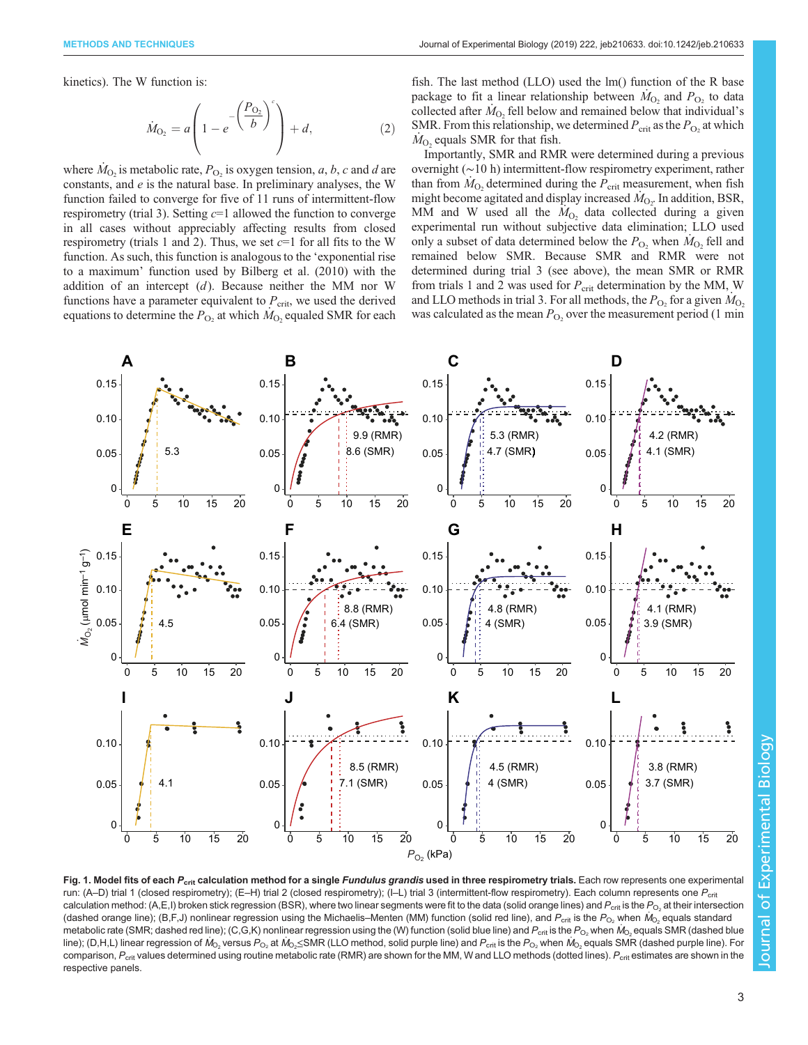<span id="page-2-0"></span>kinetics). The W function is:

$$
\dot{M}_{O_2} = a \left( 1 - e^{-\left(\frac{P_{O_2}}{b}\right)^c} \right) + d,\tag{2}
$$

where  $M_{\text{O}_2}$  is metabolic rate,  $P_{\text{O}_2}$  is oxygen tension, a, b, c and d are constants, and e is the natural base. In preliminary analyses, the W function failed to converge for five of 11 runs of intermittent-flow respirometry (trial 3). Setting  $c=1$  allowed the function to converge in all cases without appreciably affecting results from closed respirometry (trials 1 and 2). Thus, we set  $c=1$  for all fits to the W function. As such, this function is analogous to the 'exponential rise to a maximum' function used by [Bilberg et al. \(2010\)](#page-5-0) with the addition of an intercept  $(d)$ . Because neither the MM nor W functions have a parameter equivalent to  $P_{\text{crit}}$ , we used the derived equations to determine the  $P_{\text{O}_2}$  at which  $\dot{M}_{\text{O}_2}$  equaled SMR for each

fish. The last method (LLO) used the lm() function of the R base package to fit a linear relationship between  $M_{\text{O}_2}$  and  $P_{\text{O}_2}$  to data collected after  $M<sub>O</sub>$ , fell below and remained below that individual's SMR. From this relationship, we determined  $P_{\text{crit}}$  as the  $P_{\text{O}_2}$  at which  $M_{\Omega}$  equals SMR for that fish.

Importantly, SMR and RMR were determined during a previous overnight (∼10 h) intermittent-flow respirometry experiment, rather than from  $M<sub>O</sub>$ , determined during the  $P_{\rm crit}$  measurement, when fish might become agitated and display increased  $\dot{M}_{\text{O}_2}$ . In addition, BSR, MM and W used all the  $M<sub>O<sub>2</sub></sub>$  data collected during a given experimental run without subjective data elimination; LLO used only a subset of data determined below the  $P_{\text{O}_2}$  when  $\dot{M}_{\text{O}_2}$  fell and remained below SMR. Because SMR and RMR were not determined during trial 3 (see above), the mean SMR or RMR from trials 1 and 2 was used for  $P_{\text{crit}}$  determination by the MM, W and LLO methods in trial 3. For all methods, the  $P_{\text{O}_2}$  for a given  $M_{\text{O}_2}$ was calculated as the mean  $P_{\text{O}_2}$  over the measurement period (1 min



Fig. 1. Model fits of each P<sub>crit</sub> calculation method for a single Fundulus grandis used in three respirometry trials. Each row represents one experimental run: (A–D) trial 1 (closed respirometry); (E–H) trial 2 (closed respirometry); (I–L) trial 3 (intermittent-flow respirometry). Each column represents one  $P_{\text{crit}}$ calculation method: (A,E,I) broken stick regression (BSR), where two linear segments were fit to the data (solid orange lines) and  $P_{\text{crit}}$  is the  $P_{\text{O}_2}$  at their intersection (dashed orange line); (B,F,J) nonlinear regression using the Michaelis–Menten (MM) function (solid red line), and  $P_{\rm crit}$  is the  $P_{\rm O_2}$  when  $\dot{M_{\rm O_2}}$  equals standard metabolic rate (SMR; dashed red line); (C,G,K) nonlinear regression using the (W) function (solid blue line) and  $P_{\rm crit}$  is the  $P_{\rm O_2}$  when  $\dot{M}_{\rm O_2}$  equals SMR (dashed blue line); (D,H,L) linear regression of M<sub>O2</sub> versus P<sub>O2</sub> at M<sub>O2</sub>SMR (LLO method, solid purple line) and P<sub>crit</sub> is the P<sub>O2</sub> when M<sub>O2</sub> equals SMR (dashed purple line). For comparison,  $P_{\text{crit}}$  values determined using routine metabolic rate (RMR) are shown for the MM, W and LLO methods (dotted lines).  $P_{\text{crit}}$  estimates are shown in the respective panels.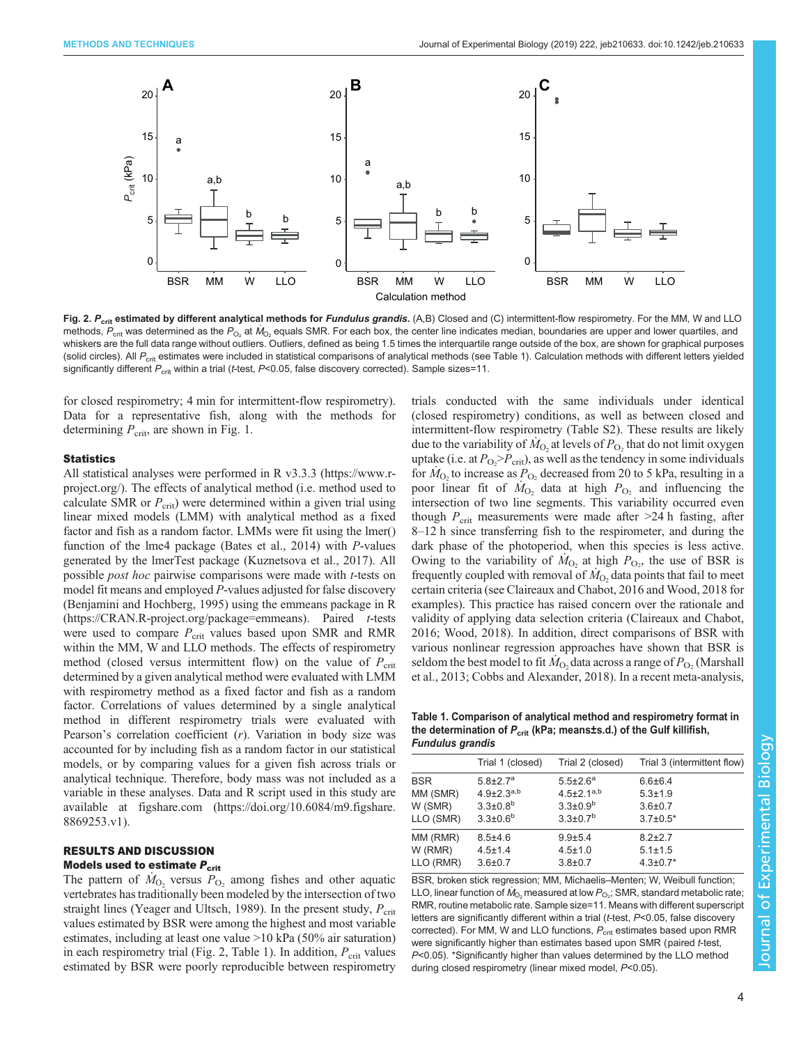<span id="page-3-0"></span>

Fig. 2. P<sub>crit</sub> estimated by different analytical methods for Fundulus grandis. (A,B) Closed and (C) intermittent-flow respirometry. For the MM, W and LLO methods,  $P_{\rm crit}$  was determined as the  $P_{\rm O_2}$  at  $M_{\rm O_2}$  equals SMR. For each box, the center line indicates median, boundaries are upper and lower quartiles, and whiskers are the full data range without outliers. Outliers, defined as being 1.5 times the interquartile range outside of the box, are shown for graphical purposes (solid circles). All P<sub>crit</sub> estimates were included in statistical comparisons of analytical methods (see Table 1). Calculation methods with different letters yielded significantly different  $P_{\text{crit}}$  within a trial (t-test, P<0.05, false discovery corrected). Sample sizes=11.

for closed respirometry; 4 min for intermittent-flow respirometry). Data for a representative fish, along with the methods for determining  $P_{\text{crit}}$ , are shown in [Fig. 1.](#page-2-0)

# **Statistics**

All statistical analyses were performed in R v3.3.3 [\(https://www.r](https://www.r-project.org/)[project.org/](https://www.r-project.org/)). The effects of analytical method (i.e. method used to calculate SMR or  $P_{\rm crit}$ ) were determined within a given trial using linear mixed models (LMM) with analytical method as a fixed factor and fish as a random factor. LMMs were fit using the lmer() function of the lme4 package [\(Bates et al., 2014\)](#page-5-0) with P-values generated by the lmerTest package ([Kuznetsova et al., 2017](#page-5-0)). All possible post hoc pairwise comparisons were made with t-tests on model fit means and employed P-values adjusted for false discovery [\(Benjamini and Hochberg, 1995](#page-5-0)) using the emmeans package in R [\(https://CRAN.R-project.org/package=emmeans](https://CRAN.R-project.org/package=emmeans)). Paired t-tests were used to compare  $P_{\text{crit}}$  values based upon SMR and RMR within the MM, W and LLO methods. The effects of respirometry method (closed versus intermittent flow) on the value of  $P_{\rm crit}$ determined by a given analytical method were evaluated with LMM with respirometry method as a fixed factor and fish as a random factor. Correlations of values determined by a single analytical method in different respirometry trials were evaluated with Pearson's correlation coefficient  $(r)$ . Variation in body size was accounted for by including fish as a random factor in our statistical models, or by comparing values for a given fish across trials or analytical technique. Therefore, body mass was not included as a variable in these analyses. Data and R script used in this study are available at figshare.com ([https://doi.org/10.6084/m9.figshare.](https://doi.org/10.6084/m9.figshare.8869253.v1) [8869253.v1](https://doi.org/10.6084/m9.figshare.8869253.v1)).

# RESULTS AND DISCUSSION

# Models used to estimate  $P_{\text{crit}}$

The pattern of  $\dot{M}_{\Omega}$ , versus  $P_{\Omega}$ , among fishes and other aquatic vertebrates has traditionally been modeled by the intersection of two straight lines [\(Yeager and Ultsch, 1989\)](#page-5-0). In the present study,  $P_{\rm crit}$ values estimated by BSR were among the highest and most variable estimates, including at least one value >10 kPa (50% air saturation) in each respirometry trial (Fig. 2, Table 1). In addition,  $P_{\text{crit}}$  values estimated by BSR were poorly reproducible between respirometry trials conducted with the same individuals under identical (closed respirometry) conditions, as well as between closed and intermittent-flow respirometry ([Table S2\)](http://jeb.biologists.org/lookup/doi/10.1242/jeb.210633.supplemental). These results are likely due to the variability of  $M<sub>O<sub>2</sub></sub>$  at levels of  $P<sub>O<sub>2</sub></sub>$  that do not limit oxygen uptake (i.e. at  $P_{\text{O}_2} > P_{\text{crit}}$ ), as well as the tendency in some individuals for  $M_{\text{O}_2}$  to increase as  $P_{\text{O}_2}$  decreased from 20 to 5 kPa, resulting in a poor linear fit of  $M_{\text{O}_2}$  data at high  $P_{\text{O}_2}$  and influencing the intersection of two line segments. This variability occurred even though  $P_{\rm crit}$  measurements were made after  $>24$  h fasting, after 8–12 h since transferring fish to the respirometer, and during the dark phase of the photoperiod, when this species is less active. Owing to the variability of  $M_{O_2}$  at high  $P_{O_2}$ , the use of BSR is frequently coupled with removal of  $\dot{M}_O$ , data points that fail to meet certain criteria (see [Claireaux and Chabot, 2016](#page-5-0) and [Wood, 2018](#page-5-0) for examples). This practice has raised concern over the rationale and validity of applying data selection criteria [\(Claireaux and Chabot,](#page-5-0) [2016; Wood, 2018](#page-5-0)). In addition, direct comparisons of BSR with various nonlinear regression approaches have shown that BSR is seldom the best model to fit  $M<sub>O</sub>$ , data across a range of  $P<sub>O<sub>2</sub></sub>$  ([Marshall](#page-5-0) [et al., 2013](#page-5-0); [Cobbs and Alexander, 2018](#page-5-0)). In a recent meta-analysis,

Table 1. Comparison of analytical method and respirometry format in the determination of  $P_{\text{crit}}$  (kPa; means±s.d.) of the Gulf killifish, Fundulus grandis

|            | Trial 1 (closed)           | Trial 2 (closed)             | Trial 3 (intermittent flow) |
|------------|----------------------------|------------------------------|-----------------------------|
| <b>BSR</b> | $5.8 \pm 2.7^a$            | $5.5 \pm 2.6^a$              | $6.6 \pm 6.4$               |
| MM (SMR)   | $4.9{\pm}2.3^{a,b}$        | $4.5 \pm 2.1$ <sup>a,b</sup> | $5.3 \pm 1.9$               |
| W (SMR)    | $3.3 \pm 0.8$ <sup>b</sup> | $3.3 \pm 0.9^b$              | $3.6 + 0.7$                 |
| LLO (SMR)  | $3.3 \pm 0.6^b$            | $3.3 \pm 0.7$ <sup>b</sup>   | $3.7 \pm 0.5^*$             |
| MM (RMR)   | $8.5 + 4.6$                | $9.9 + 5.4$                  | $8.2 + 2.7$                 |
| W (RMR)    | $4.5 \pm 1.4$              | $4.5 \pm 1.0$                | $5.1 \pm 1.5$               |
| LLO (RMR)  | $3.6 \pm 0.7$              | $3.8 + 0.7$                  | $4.3 \pm 0.7$ *             |

BSR, broken stick regression; MM, Michaelis–Menten; W, Weibull function; LLO, linear function of  $\dot{M}_{\rm O_2}$ measured at low  $P_{\rm O_2}$ ; SMR, standard metabolic rate; RMR, routine metabolic rate. Sample size=11. Means with different superscript letters are significantly different within a trial (t-test, P<0.05, false discovery corrected). For MM, W and LLO functions,  $P_{\text{crit}}$  estimates based upon RMR were significantly higher than estimates based upon SMR (paired t-test, P<0.05). \*Significantly higher than values determined by the LLO method during closed respirometry (linear mixed model, P<0.05).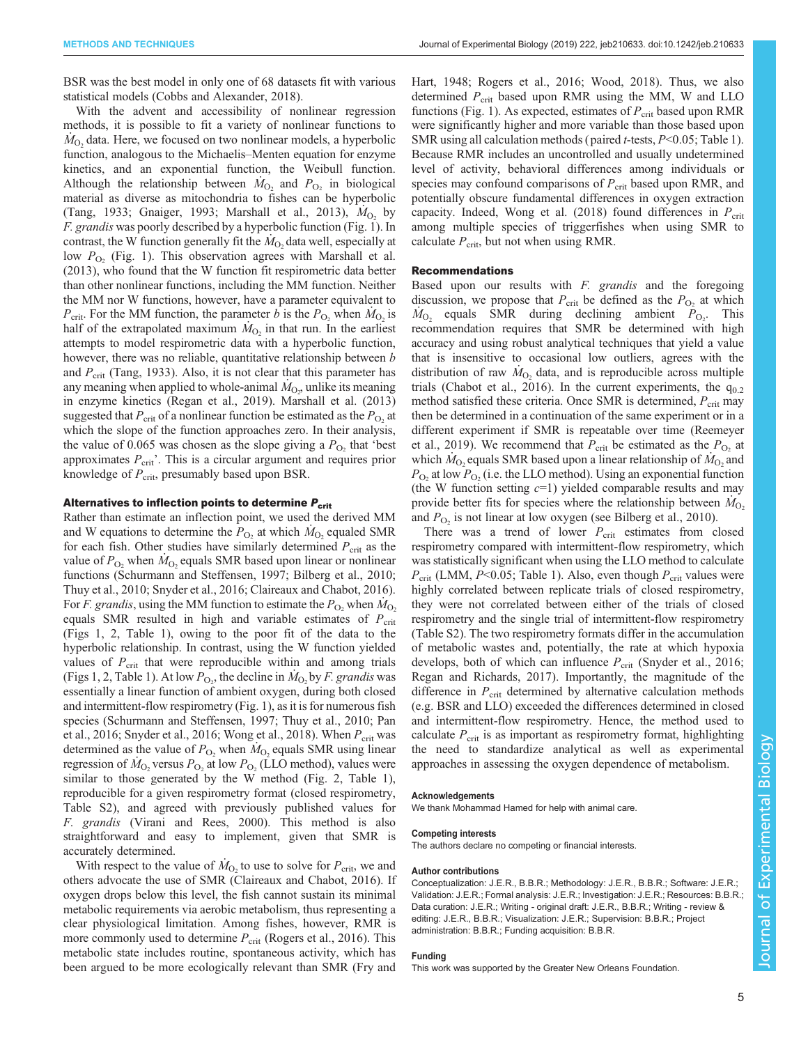BSR was the best model in only one of 68 datasets fit with various statistical models [\(Cobbs and Alexander, 2018\)](#page-5-0).

With the advent and accessibility of nonlinear regression methods, it is possible to fit a variety of nonlinear functions to  $M<sub>O</sub>$ , data. Here, we focused on two nonlinear models, a hyperbolic function, analogous to the Michaelis–Menten equation for enzyme kinetics, and an exponential function, the Weibull function. Although the relationship between  $M_{\text{O}_2}$  and  $P_{\text{O}_2}$  in biological material as diverse as mitochondria to fishes can be hyperbolic [\(Tang, 1933](#page-5-0); [Gnaiger, 1993; Marshall et al., 2013\)](#page-5-0),  $M<sub>O<sub>2</sub></sub>$  by F. grandis was poorly described by a hyperbolic function ([Fig. 1\)](#page-2-0). In contrast, the W function generally fit the  $M<sub>O<sub>2</sub></sub>$  data well, especially at low  $P_{\text{O}_2}$  [\(Fig. 1\)](#page-2-0). This observation agrees with [Marshall et al.](#page-5-0) [\(2013\)](#page-5-0), who found that the W function fit respirometric data better than other nonlinear functions, including the MM function. Neither the MM nor W functions, however, have a parameter equivalent to  $P_{\text{crit}}$ . For the MM function, the parameter b is the  $P_{\text{O}_2}$  when  $\dot{M}_{\text{O}_2}$  is half of the extrapolated maximum  $M<sub>O<sub>2</sub></sub>$  in that run. In the earliest attempts to model respirometric data with a hyperbolic function, however, there was no reliable, quantitative relationship between b and  $P_{\rm crit}$  [\(Tang, 1933\)](#page-5-0). Also, it is not clear that this parameter has any meaning when applied to whole-animal  $\dot{M}_{\rm O_2}$  unlike its meaning in enzyme kinetics ([Regan et al., 2019](#page-5-0)). [Marshall et al. \(2013\)](#page-5-0) suggested that  $P_{\text{crit}}$  of a nonlinear function be estimated as the  $P_{\text{O}_2}$  at which the slope of the function approaches zero. In their analysis, the value of 0.065 was chosen as the slope giving a  $P_{\text{O}_2}$  that 'best approximates  $P_{\text{crit}}$ . This is a circular argument and requires prior knowledge of  $P_{\text{crit}}$ , presumably based upon BSR.

# Alternatives to inflection points to determine  $P_{\text{crit}}$

Rather than estimate an inflection point, we used the derived MM and W equations to determine the  $P_{\text{O}_2}$  at which  $M_{\text{O}_2}$  equaled SMR for each fish. Other studies have similarly determined  $P_{\text{crit}}$  as the value of  $P_{\text{O}_2}$  when  $M_{\text{O}_2}$  equals SMR based upon linear or nonlinear functions [\(Schurmann and Steffensen, 1997; Bilberg et al., 2010](#page-5-0); [Thuy et al., 2010; Snyder et al., 2016](#page-5-0); [Claireaux and Chabot, 2016\)](#page-5-0). For F. grandis, using the MM function to estimate the  $P_{\text{O}}$ , when  $M_{\text{O}}$ , equals SMR resulted in high and variable estimates of  $P_{\text{crit}}$ [\(Figs 1,](#page-2-0) [2, Table 1](#page-3-0)), owing to the poor fit of the data to the hyperbolic relationship. In contrast, using the W function yielded values of  $P_{\text{crit}}$  that were reproducible within and among trials [\(Figs 1,](#page-2-0) [2, Table 1\)](#page-3-0). At low  $P_{\text{O}_2}$ , the decline in  $\dot{M}_{\text{O}_2}$  by *F. grandis* was essentially a linear function of ambient oxygen, during both closed and intermittent-flow respirometry [\(Fig. 1\)](#page-2-0), as it is for numerous fish species [\(Schurmann and Steffensen, 1997](#page-5-0); [Thuy et al., 2010](#page-5-0); [Pan](#page-5-0) [et al., 2016; Snyder et al., 2016; Wong et al., 2018\)](#page-5-0). When  $P_{\text{crit}}$  was determined as the value of  $P_{\text{O}_2}$  when  $M_{\text{O}_2}$  equals SMR using linear regression of  $\dot{M}_{\text{O}_2}$  versus  $P_{\text{O}_2}$  at low  $P_{\text{O}_2}$  (LLO method), values were similar to those generated by the W method [\(Fig. 2](#page-3-0), [Table 1\)](#page-3-0), reproducible for a given respirometry format (closed respirometry, [Table S2](http://jeb.biologists.org/lookup/doi/10.1242/jeb.210633.supplemental)), and agreed with previously published values for F. grandis ([Virani and Rees, 2000\)](#page-5-0). This method is also straightforward and easy to implement, given that SMR is accurately determined.

With respect to the value of  $M<sub>O<sub>2</sub></sub>$  to use to solve for  $P_{\text{crit}}$ , we and others advocate the use of SMR [\(Claireaux and Chabot, 2016](#page-5-0)). If oxygen drops below this level, the fish cannot sustain its minimal metabolic requirements via aerobic metabolism, thus representing a clear physiological limitation. Among fishes, however, RMR is more commonly used to determine  $P_{\text{crit}}$  ([Rogers et al., 2016](#page-5-0)). This metabolic state includes routine, spontaneous activity, which has been argued to be more ecologically relevant than SMR [\(Fry and](#page-5-0)

[Hart, 1948; Rogers et al., 2016; Wood, 2018\)](#page-5-0). Thus, we also determined  $P_{\text{crit}}$  based upon RMR using the MM, W and LLO functions ([Fig. 1\)](#page-2-0). As expected, estimates of  $P_{\text{crit}}$  based upon RMR were significantly higher and more variable than those based upon SMR using all calculation methods (paired *t*-tests, *P*<0.05; [Table 1\)](#page-3-0). Because RMR includes an uncontrolled and usually undetermined level of activity, behavioral differences among individuals or species may confound comparisons of  $P_{\rm crit}$  based upon RMR, and potentially obscure fundamental differences in oxygen extraction capacity. Indeed, [Wong et al. \(2018\)](#page-5-0) found differences in  $P_{\text{crit}}$ among multiple species of triggerfishes when using SMR to calculate  $P_{\text{crit}}$ , but not when using RMR.

# Recommendations

Based upon our results with F. grandis and the foregoing discussion, we propose that  $P_{\text{crit}}$  be defined as the  $P_{\text{O}_2}$  at which  $\dot{M}_{\text{O}_2}$  equals SMR during declining ambient  $\dot{P}_{\text{O}_2}$ . This recommendation requires that SMR be determined with high accuracy and using robust analytical techniques that yield a value that is insensitive to occasional low outliers, agrees with the distribution of raw  $M<sub>O</sub>$ , data, and is reproducible across multiple trials ([Chabot et al., 2016\)](#page-5-0). In the current experiments, the  $q_{0,2}$ method satisfied these criteria. Once SMR is determined,  $P_{\text{crit}}$  may then be determined in a continuation of the same experiment or in a different experiment if SMR is repeatable over time [\(Reemeyer](#page-5-0) [et al., 2019\)](#page-5-0). We recommend that  $P_{\text{crit}}$  be estimated as the  $P_{\text{O}_2}$  at which  $M_{\text{O}_2}$  equals SMR based upon a linear relationship of  $M_{\text{O}_2}$  and  $P_{\text{O}_2}$  at low  $P_{\text{O}_2}$  (i.e. the LLO method). Using an exponential function (the W function setting  $c=1$ ) yielded comparable results and may provide better fits for species where the relationship between  $M_{\odot}$ and  $P_{\text{O}_2}$  is not linear at low oxygen (see [Bilberg et al., 2010](#page-5-0)).

There was a trend of lower  $P_{\text{crit}}$  estimates from closed respirometry compared with intermittent-flow respirometry, which was statistically significant when using the LLO method to calculate  $P_{\text{crit}}$  (LMM, P<0.05; [Table 1](#page-3-0)). Also, even though  $P_{\text{crit}}$  values were highly correlated between replicate trials of closed respirometry, they were not correlated between either of the trials of closed respirometry and the single trial of intermittent-flow respirometry [\(Table S2](http://jeb.biologists.org/lookup/doi/10.1242/jeb.210633.supplemental)). The two respirometry formats differ in the accumulation of metabolic wastes and, potentially, the rate at which hypoxia develops, both of which can influence  $P_{\text{crit}}$  ([Snyder et al., 2016](#page-5-0); [Regan and Richards, 2017](#page-5-0)). Importantly, the magnitude of the difference in  $P_{\text{crit}}$  determined by alternative calculation methods (e.g. BSR and LLO) exceeded the differences determined in closed and intermittent-flow respirometry. Hence, the method used to calculate  $P_{\text{crit}}$  is as important as respirometry format, highlighting the need to standardize analytical as well as experimental approaches in assessing the oxygen dependence of metabolism.

### Acknowledgements

We thank Mohammad Hamed for help with animal care.

### Competing interests

The authors declare no competing or financial interests.

#### Author contributions

Conceptualization: J.E.R., B.B.R.; Methodology: J.E.R., B.B.R.; Software: J.E.R.; Validation: J.E.R.; Formal analysis: J.E.R.; Investigation: J.E.R.; Resources: B.B.R.; Data curation: J.E.R.; Writing - original draft: J.E.R., B.B.R.; Writing - review & editing: J.E.R., B.B.R.; Visualization: J.E.R.; Supervision: B.B.R.; Project administration: B.B.R.; Funding acquisition: B.B.R.

### Funding

This work was supported by the Greater New Orleans Foundation.